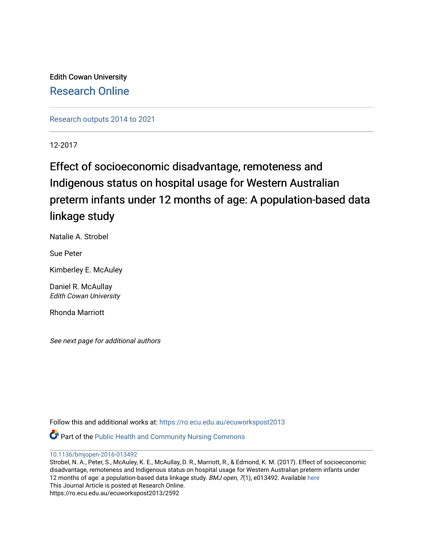Edith Cowan University [Research Online](https://ro.ecu.edu.au/) 

[Research outputs 2014 to 2021](https://ro.ecu.edu.au/ecuworkspost2013) 

12-2017

## Effect of socioeconomic disadvantage, remoteness and Indigenous status on hospital usage for Western Australian preterm infants under 12 months of age: A population-based data linkage study

Natalie A. Strobel

Sue Peter

Kimberley E. McAuley

Daniel R. McAullay Edith Cowan University

Rhonda Marriott

See next page for additional authors

Follow this and additional works at: [https://ro.ecu.edu.au/ecuworkspost2013](https://ro.ecu.edu.au/ecuworkspost2013?utm_source=ro.ecu.edu.au%2Fecuworkspost2013%2F2592&utm_medium=PDF&utm_campaign=PDFCoverPages) 

**Part of the Public Health and Community Nursing Commons** 

[10.1136/bmjopen-2016-013492](http://dx.doi.org/10.1136/bmjopen-2016-013492) 

Strobel, N. A., Peter, S., McAuley, K. E., McAullay, D. R., Marriott, R., & Edmond, K. M. (2017). Effect of socioeconomic disadvantage, remoteness and Indigenous status on hospital usage for Western Australian preterm infants under 12 months of age: a population-based data linkage study. BMJ open, 7(1), e013492. Available here This Journal Article is posted at Research Online. https://ro.ecu.edu.au/ecuworkspost2013/2592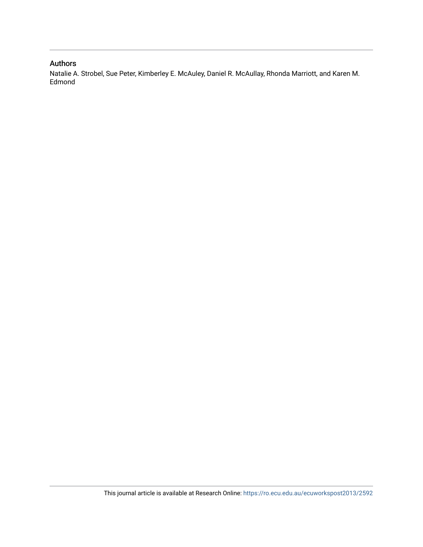#### Authors

Natalie A. Strobel, Sue Peter, Kimberley E. McAuley, Daniel R. McAullay, Rhonda Marriott, and Karen M. Edmond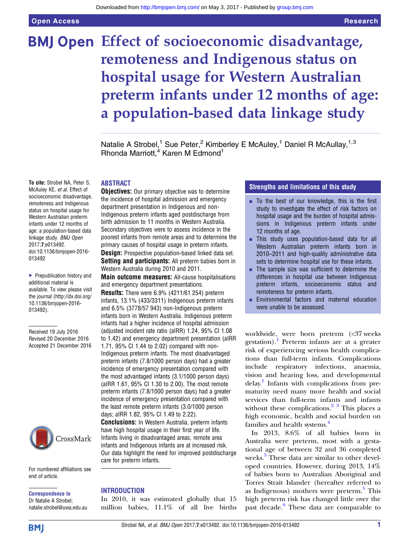# **BMJ Open Effect of socioeconomic disadvantage,** remoteness and Indigenous status on hospital usage for Western Australian preterm infants under 12 months of age: a population-based data linkage study

Natalie A Strobel,<sup>1</sup> Sue Peter,<sup>2</sup> Kimberley E McAuley,<sup>1</sup> Daniel R McAullay,<sup>1,3</sup> Rhonda Marriott,<sup>4</sup> Karen M Edmond<sup>1</sup>

#### ABSTRACT

**Objectives:** Our primary objective was to determine the incidence of hospital admission and emergency department presentation in Indigenous and non-Indigenous preterm infants aged postdischarge from birth admission to 11 months in Western Australia. Secondary objectives were to assess incidence in the poorest infants from remote areas and to determine the primary causes of hospital usage in preterm infants. **Design:** Prospective population-based linked data set.

Setting and participants: All preterm babies born in Western Australia during 2010 and 2011.

Main outcome measures: All-cause hospitalisations and emergency department presentations.

Results: There were 6.9% (4211/61 254) preterm infants, 13.1% (433/3311) Indigenous preterm infants and 6.5% (3778/57 943) non-Indigenous preterm infants born in Western Australia. Indigenous preterm infants had a higher incidence of hospital admission (adjusted incident rate ratio (aIRR) 1.24, 95% CI 1.08 to 1.42) and emergency department presentation (aIRR 1.71, 95% CI 1.44 to 2.02) compared with non-Indigenous preterm infants. The most disadvantaged preterm infants (7.8/1000 person days) had a greater incidence of emergency presentation compared with the most advantaged infants (3.1/1000 person days) (aIRR 1.61, 95% CI 1.30 to 2.00). The most remote preterm infants (7.8/1000 person days) had a greater incidence of emergency presentation compared with the least remote preterm infants (3.0/1000 person days; aIRR 1.82, 95% CI 1.49 to 2.22).

Conclusions: In Western Australia, preterm infants have high hospital usage in their first year of life. Infants living in disadvantaged areas, remote area infants and Indigenous infants are at increased risk. Our data highlight the need for improved postdischarge care for preterm infants.

#### For numbered affiliations see end of article.

Correspondence to Dr Natalie A Strobel; natalie.strobel@uwa.edu.au

#### INTRODUCTION

In 2010, it was estimated globally that 15 million babies, 11.1% of all live births

#### Strengths and limitations of this study

- $\blacksquare$  To the best of our knowledge, this is the first study to investigate the effect of risk factors on hospital usage and the burden of hospital admissions in Indigenous preterm infants under 12 months of age.
- **EXTER 15 This study uses population-based data for all** Western Australian preterm infants born in 2010–2011 and high-quality administrative data sets to determine hospital use for these infants.
- $\blacksquare$  The sample size was sufficient to determine the differences in hospital use between Indigenous preterm infants, socioeconomic status and remoteness for preterm infants.
- **Environmental factors and maternal education** were unable to be assessed.

worldwide, were born preterm (<37 weeks gestation).<sup>[1](#page-11-0)</sup> Preterm infants are at a greater risk of experiencing serious health complications than full-term infants. Complications include respiratory infections, anaemia, vision and hearing loss, and developmental delay.<sup>1</sup> Infants with complications from prematurity need many more health and social services than full-term infants and infants without these complications. $2^3$  This places a high economic, health and social burden on families and health systems.<sup>[4](#page-11-0)</sup>

In 2013, 8.6% of all babies born in Australia were preterm, most with a gestational age of between 32 and 36 completed weeks. $5$  These data are similar to other developed countries. However, during 2013, 14% of babies born to Australian Aboriginal and Torres Strait Islander (hereafter referred to as Indigenous) mothers were preterm.<sup>[5](#page-11-0)</sup> This high preterm risk has changed little over the past decade.<sup>[6](#page-11-0)</sup> These data are comparable to

McAuley KE, et al. Effect of socioeconomic disadvantage, remoteness and Indigenous status on hospital usage for Western Australian preterm infants under 12 months of age: a population-based data linkage study. BMJ Open 2017;7:e013492. doi:10.1136/bmjopen-2016- 013492

To cite: Strobel NA, Peter S,

▶ Prepublication history and additional material is available. To view please visit the journal [\(http://dx.doi.org/](http://dx.doi.org/10.1136/bmjopen-2016-013492) [10.1136/bmjopen-2016-](http://dx.doi.org/10.1136/bmjopen-2016-013492) [013492\)](http://dx.doi.org/10.1136/bmjopen-2016-013492).

Received 19 July 2016 Revised 20 December 2016 Accepted 21 December 2016

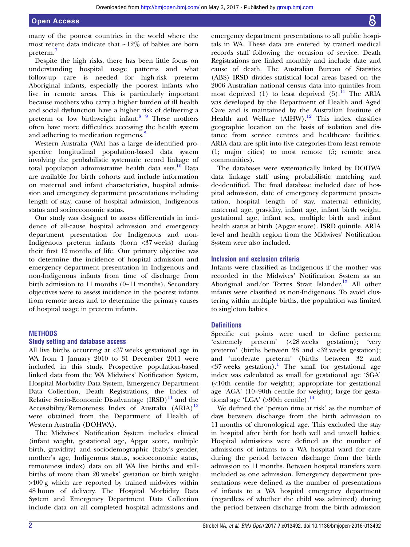many of the poorest countries in the world where the most recent data indicate that ∼12% of babies are born preterm.[7](#page-11-0)

Despite the high risks, there has been little focus on understanding hospital usage patterns and what follow-up care is needed for high-risk preterm Aboriginal infants, especially the poorest infants who live in remote areas. This is particularly important because mothers who carry a higher burden of ill health and social dysfunction have a higher risk of delivering a preterm or low birthweight infant. $8<sup>9</sup>$  These mothers often have more difficulties accessing the health system and adhering to medication regimens.<sup>[8](#page-11-0)</sup>

Western Australia (WA) has a large de-identified prospective longitudinal population-based data system involving the probabilistic systematic record linkage of total population administrative health data sets. $10$  Data are available for birth cohorts and include information on maternal and infant characteristics, hospital admission and emergency department presentations including length of stay, cause of hospital admission, Indigenous status and socioeconomic status.

Our study was designed to assess differentials in incidence of all-cause hospital admission and emergency department presentation for Indigenous and non-Indigenous preterm infants (born <37 weeks) during their first 12 months of life. Our primary objective was to determine the incidence of hospital admission and emergency department presentation in Indigenous and non-Indigenous infants from time of discharge from birth admission to 11 months (0–11 months). Secondary objectives were to assess incidence in the poorest infants from remote areas and to determine the primary causes of hospital usage in preterm infants.

#### **METHODS**

#### Study setting and database access

All live births occurring at <37 weeks gestational age in WA from 1 January 2010 to 31 December 2011 were included in this study. Prospective population-based linked data from the WA Midwives' Notification System, Hospital Morbidity Data System, Emergency Department Data Collection, Death Registrations, the Index of Relative Socio-Economic Disadvantage  $(IRSD)^{11}$  $(IRSD)^{11}$  $(IRSD)^{11}$  and the Accessibility/Remoteness Index of Australia  $(ARIA)^{12}$  $(ARIA)^{12}$  $(ARIA)^{12}$ were obtained from the Department of Health of Western Australia (DOHWA).

The Midwives' Notification System includes clinical (infant weight, gestational age, Apgar score, multiple birth, gravidity) and sociodemographic (baby's gender, mother's age, Indigenous status, socioeconomic status, remoteness index) data on all WA live births and stillbirths of more than 20 weeks' gestation or birth weight >400 g which are reported by trained midwives within 48 hours of delivery. The Hospital Morbidity Data System and Emergency Department Data Collection include data on all completed hospital admissions and

emergency department presentations to all public hospitals in WA. These data are entered by trained medical records staff following the occasion of service. Death Registrations are linked monthly and include date and cause of death. The Australian Bureau of Statistics (ABS) IRSD divides statistical local areas based on the 2006 Australian national census data into quintiles from most deprived (1) to least deprived  $(5)$ .<sup>[11](#page-11-0)</sup> The ARIA was developed by the Department of Health and Aged Care and is maintained by the Australian Institute of Health and Welfare  $(AIHW).$ <sup>12</sup> This index classifies geographic location on the basis of isolation and distance from service centres and healthcare facilities. ARIA data are split into five categories from least remote (1; major cities) to most remote (5; remote area communities).

The databases were systematically linked by DOHWA data linkage staff using probabilistic matching and de-identified. The final database included date of hospital admission, date of emergency department presentation, hospital length of stay, maternal ethnicity, maternal age, gravidity, infant age, infant birth weight, gestational age, infant sex, multiple birth and infant health status at birth (Apgar score). ISRD quintile, ARIA level and health region from the Midwives' Notification System were also included.

#### Inclusion and exclusion criteria

Infants were classified as Indigenous if the mother was recorded in the Midwives' Notification System as an Aboriginal and/or Torres Strait Islander.<sup>13</sup> All other infants were classified as non-Indigenous. To avoid clustering within multiple births, the population was limited to singleton babies.

#### **Definitions**

Specific cut points were used to define preterm; 'extremely preterm' (<28 weeks gestation); 'very preterm' (births between 28 and <32 weeks gestation); and 'moderate preterm' (births between 32 and  $\langle 37 \rangle$  weeks gestation).<sup>[1](#page-11-0)</sup> The small for gestational age index was calculated as small for gestational age 'SGA' (<10th centile for weight); appropriate for gestational age 'AGA' (10–90th centile for weight); large for gestational age 'LGA'  $(>90$ th centile).<sup>[14](#page-11-0)</sup>

We defined the 'person time at risk' as the number of days between discharge from the birth admission to 11 months of chronological age. This excluded the stay in hospital after birth for both well and unwell babies. Hospital admissions were defined as the number of admissions of infants to a WA hospital ward for care during the period between discharge from the birth admission to 11 months. Between hospital transfers were included as one admission. Emergency department presentations were defined as the number of presentations of infants to a WA hospital emergency department (regardless of whether the child was admitted) during the period between discharge from the birth admission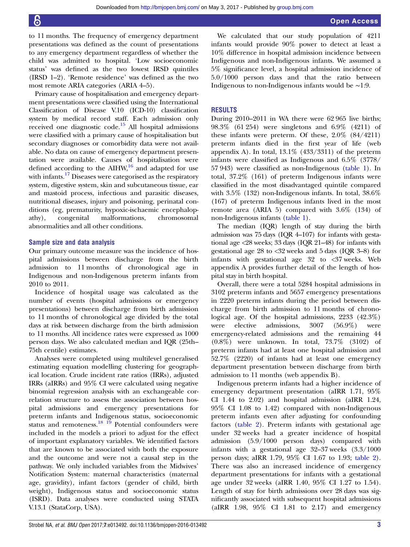to 11 months. The frequency of emergency department presentations was defined as the count of presentations to any emergency department regardless of whether the child was admitted to hospital. 'Low socioeconomic status' was defined as the two lowest IRSD quintiles (IRSD 1–2). 'Remote residence' was defined as the two most remote ARIA categories (ARIA 4–5).

Primary cause of hospitalisation and emergency department presentations were classified using the International Classification of Disease V.10 (ICD-10) classification system by medical record staff. Each admission only received one diagnostic code.<sup>[15](#page-11-0)</sup> All hospital admissions were classified with a primary cause of hospitalisation but secondary diagnoses or comorbidity data were not available. No data on cause of emergency department presentation were available. Causes of hospitalisation were defined according to the  $\text{AHW}^{16}$  $\text{AHW}^{16}$  $\text{AHW}^{16}$  and adapted for use with infants.<sup>[17](#page-11-0)</sup> Diseases were categorised as the respiratory system, digestive system, skin and subcutaneous tissue, ear and mastoid process, infectious and parasitic diseases, nutritional diseases, injury and poisoning, perinatal conditions (eg, prematurity, hypoxic-ischaemic encephalopathy), congenital malformations, chromosomal abnormalities and all other conditions.

#### Sample size and data analysis

Our primary outcome measure was the incidence of hospital admissions between discharge from the birth admission to 11 months of chronological age in Indigenous and non-Indigenous preterm infants from 2010 to 2011.

Incidence of hospital usage was calculated as the number of events (hospital admissions or emergency presentations) between discharge from birth admission to 11 months of chronological age divided by the total days at risk between discharge from the birth admission to 11 months. All incidence rates were expressed as 1000 person days. We also calculated median and IQR (25th– 75th centile) estimates.

Analyses were completed using multilevel generalised estimating equation modelling clustering for geographical location. Crude incident rate ratios (IRRs), adjusted IRRs (aIRRs) and 95% CI were calculated using negative binomial regression analysis with an exchangeable correlation structure to assess the association between hospital admissions and emergency presentations for preterm infants and Indigenous status, socioeconomic status and remoteness.<sup>[18 19](#page-11-0)</sup> Potential confounders were included in the models a priori to adjust for the effect of important explanatory variables. We identified factors that are known to be associated with both the exposure and the outcome and were not a causal step in the pathway. We only included variables from the Midwives' Notification System: maternal characteristics (maternal age, gravidity), infant factors (gender of child, birth weight), Indigenous status and socioeconomic status (ISRD). Data analyses were conducted using STATA V.13.1 (StataCorp, USA).

We calculated that our study population of 4211 infants would provide 90% power to detect at least a 10% difference in hospital admission incidence between Indigenous and non-Indigenous infants. We assumed a 5% significance level, a hospital admission incidence of 5.0/1000 person days and that the ratio between Indigenous to non-Indigenous infants would be ∼1:9.

#### **RESULTS**

During 2010–2011 in WA there were 62 965 live births; 98.3% (61 254) were singletons and 6.9% (4211) of these infants were preterm. Of these, 2.0% (84/4211) preterm infants died in the first year of life ([web](http://dx.doi.org/10.1136/bmjopen-2016-013492) [appendix A](http://dx.doi.org/10.1136/bmjopen-2016-013492)). In total,  $13.1\%$  ( $433/3311$ ) of the preterm infants were classified as Indigenous and 6.5% (3778/ 57 943) were classified as non-Indigenous ([table 1\)](#page-5-0). In total, 37.2% (161) of preterm Indigenous infants were classified in the most disadvantaged quintile compared with 3.5% (132) non-Indigenous infants. In total, 38.6% (167) of preterm Indigenous infants lived in the most remote area (ARIA 5) compared with 3.6% (134) of non-Indigenous infants [\(table 1](#page-5-0)).

The median (IQR) length of stay during the birth admission was 75 days (IQR 4–107) for infants with gestational age <28 weeks; 33 days (IQR 21–48) for infants with gestational age 28 to <32 weeks and 5 days (IQR 3–8) for infants with gestational age 32 to <37 weeks. [Web](http://dx.doi.org/10.1136/bmjopen-2016-013492) [appendix A](http://dx.doi.org/10.1136/bmjopen-2016-013492) provides further detail of the length of hospital stay in birth hospital.

Overall, there were a total 5284 hospital admissions in 3102 preterm infants and 5657 emergency presentations in 2220 preterm infants during the period between discharge from birth admission to 11 months of chronological age. Of the hospital admissions, 2233 (42.3%) were elective admissions, 3007 (56.9%) were emergency-related admissions and the remaining 44 (0.8%) were unknown. In total, 73.7% (3102) of preterm infants had at least one hospital admission and 52.7% (2220) of infants had at least one emergency department presentation between discharge from birth admission to 11 months [\(web appendix B](http://dx.doi.org/10.1136/bmjopen-2016-013492)).

Indigenous preterm infants had a higher incidence of emergency department presentation (aIRR 1.71, 95% CI 1.44 to 2.02) and hospital admission (aIRR 1.24, 95% CI 1.08 to 1.42) compared with non-Indigenous preterm infants even after adjusting for confounding factors ([table 2\)](#page-6-0). Preterm infants with gestational age under 32 weeks had a greater incidence of hospital admission (5.9/1000 person days) compared with infants with a gestational age 32–37 weeks (3.3/1000 person days; aIRR 1.79, 95% CI 1.67 to 1.93; [table 2\)](#page-6-0). There was also an increased incidence of emergency department presentations for infants with a gestational age under 32 weeks (aIRR 1.40, 95% CI 1.27 to 1.54). Length of stay for birth admissions over 28 days was significantly associated with subsequent hospital admissions (aIRR 1.98, 95% CI 1.81 to 2.17) and emergency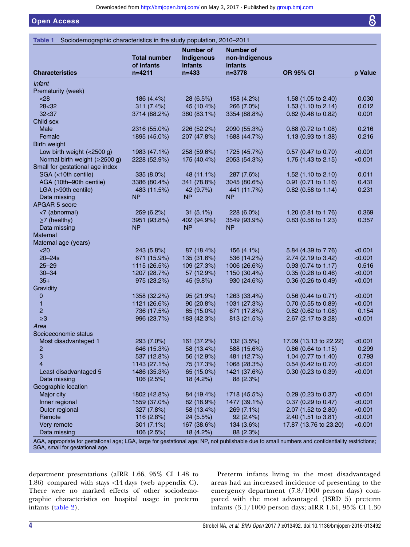<span id="page-5-0"></span>Open Access

|                                                                                                                                                  |                        | <b>Number of</b>     | <b>Number of</b>      |                                |         |
|--------------------------------------------------------------------------------------------------------------------------------------------------|------------------------|----------------------|-----------------------|--------------------------------|---------|
|                                                                                                                                                  | <b>Total number</b>    | Indigenous           | non-Indigenous        |                                |         |
| <b>Characteristics</b>                                                                                                                           | of infants<br>$n=4211$ | infants<br>$n = 433$ | infants<br>$n = 3778$ | <b>OR 95% CI</b>               | p Value |
|                                                                                                                                                  |                        |                      |                       |                                |         |
| Infant<br>Prematurity (week)                                                                                                                     |                        |                      |                       |                                |         |
| < 28                                                                                                                                             | 186 (4.4%)             | 28 (6.5%)            | 158 (4.2%)            | 1.58 (1.05 to 2.40)            | 0.030   |
| $28 - 32$                                                                                                                                        | 311(7.4%)              | 45 (10.4%)           | 266 (7.0%)            | 1.53 $(1.10 \text{ to } 2.14)$ | 0.012   |
| 32<37                                                                                                                                            | 3714 (88.2%)           | 360 (83.1%)          | 3354 (88.8%)          | 0.62 (0.48 to 0.82)            | 0.001   |
| Child sex                                                                                                                                        |                        |                      |                       |                                |         |
| Male                                                                                                                                             | 2316 (55.0%)           | 226 (52.2%)          | 2090 (55.3%)          | 0.88 (0.72 to 1.08)            | 0.216   |
| Female                                                                                                                                           | 1895 (45.0%)           | 207 (47.8%)          | 1688 (44.7%)          | 1.13 (0.93 to 1.38)            | 0.216   |
| Birth weight                                                                                                                                     |                        |                      |                       |                                |         |
| Low birth weight (<2500 g)                                                                                                                       | 1983 (47.1%)           | 258 (59.6%)          | 1725 (45.7%)          | 0.57 (0.47 to 0.70)            | < 0.001 |
| Normal birth weight $(≥2500 g)$                                                                                                                  | 2228 (52.9%)           | 175 (40.4%)          | 2053 (54.3%)          | 1.75 (1.43 to 2.15)            | < 0.001 |
| Small for gestational age index                                                                                                                  |                        |                      |                       |                                |         |
| SGA (<10th centile)                                                                                                                              | 335 (8.0%)             | 48 (11.1%)           | 287 (7.6%)            | 1.52 (1.10 to 2.10)            | 0.011   |
| AGA (10th-90th centile)                                                                                                                          | 3386 (80.4%)           | 341 (78.8%)          | 3045 (80.6%)          | 0.91 (0.71 to 1.16)            | 0.431   |
| LGA (>90th centile)                                                                                                                              | 483 (11.5%)            | 42 (9.7%)            | 441 (11.7%)           | 0.82 (0.58 to 1.14)            | 0.231   |
| Data missing                                                                                                                                     | <b>NP</b>              | NΡ                   | <b>NP</b>             |                                |         |
| APGAR 5 score                                                                                                                                    |                        |                      |                       |                                |         |
| <7 (abnormal)                                                                                                                                    | 259 (6.2%)             | $31(5.1\%)$          | 228 (6.0%)            | 1.20 (0.81 to 1.76)            | 0.369   |
| $\geq$ 7 (healthy)                                                                                                                               | 3951 (93.8%)           | 402 (94.9%)          | 3549 (93.9%)          | 0.83 (0.56 to 1.23)            | 0.357   |
| Data missing                                                                                                                                     | <b>NP</b>              | <b>NP</b>            | <b>NP</b>             |                                |         |
| Maternal                                                                                                                                         |                        |                      |                       |                                |         |
| Maternal age (years)                                                                                                                             |                        |                      |                       |                                |         |
| $20$                                                                                                                                             | 243 (5.8%)             | 87 (18.4%)           | 156 (4.1%)            | 5.84 (4.39 to 7.76)            | < 0.001 |
| $20 - 24s$                                                                                                                                       | 671 (15.9%)            | 135 (31.6%)          | 536 (14.2%)           | 2.74 (2.19 to 3.42)            | < 0.001 |
| $25 - 29$                                                                                                                                        | 1115 (26.5%)           | 109 (27.3%)          | 1006 (26.6%)          | 0.93 (0.74 to 1.17)            | 0.516   |
| $30 - 34$                                                                                                                                        | 1207 (28.7%)           | 57 (12.9%)           | 1150 (30.4%)          | 0.35 (0.26 to 0.46)            | < 0.001 |
| $35+$                                                                                                                                            | 975 (23.2%)            | 45 (9.8%)            | 930 (24.6%)           | 0.36 (0.26 to 0.49)            | < 0.001 |
| Gravidity                                                                                                                                        |                        |                      |                       |                                |         |
| 0                                                                                                                                                | 1358 (32.2%)           | 95 (21.9%)           | 1263 (33.4%)          | $0.56$ (0.44 to 0.71)          | < 0.001 |
| 1                                                                                                                                                | 1121 (26.6%)           | 90(20.8%)            | 1031 (27.3%)          | 0.70 (0.55 to 0.89)            | < 0.001 |
| $\overline{c}$                                                                                                                                   | 736 (17.5%)            | 65 (15.0%)           | 671 (17.8%)           | 0.82 (0.62 to 1.08)            | 0.154   |
| $\geq 3$                                                                                                                                         | 996 (23.7%)            | 183 (42.3%)          | 813 (21.5%)           | 2.67 (2.17 to 3.28)            | < 0.001 |
| Area                                                                                                                                             |                        |                      |                       |                                |         |
| Socioeconomic status                                                                                                                             |                        |                      |                       |                                |         |
| Most disadvantaged 1                                                                                                                             | 293 (7.0%)             | 161 (37.2%)          | 132 (3.5%)            | 17.09 (13.13 to 22.22)         | < 0.001 |
| 2                                                                                                                                                | 646 (15.3%)            | 58 (13.4%)           | 588 (15.6%)           | $0.86$ (0.64 to 1.15)          | 0.299   |
| 3                                                                                                                                                | 537 (12.8%)            | 56 (12.9%)           | 481 (12.7%)           | 1.04 (0.77 to 1.40)            | 0.793   |
| $\overline{4}$                                                                                                                                   | 1143 (27.1%)           | 75 (17.3%)           | 1068 (28.3%)          | 0.54 (0.42 to 0.70)            | < 0.001 |
| Least disadvantaged 5                                                                                                                            | 1486 (35.3%)           | 65 (15.0%)           | 1421 (37.6%)          | $0.30$ (0.23 to 0.39)          | < 0.001 |
| Data missing                                                                                                                                     | 106 (2.5%)             | 18 (4.2%)            | 88 (2.3%)             |                                |         |
| Geographic location                                                                                                                              |                        |                      |                       |                                |         |
| Major city                                                                                                                                       | 1802 (42.8%)           | 84 (19.4%)           | 1718 (45.5%)          | 0.29 (0.23 to 0.37)            | < 0.001 |
| Inner regional                                                                                                                                   | 1559 (37.0%)           | 82 (18.9%)           | 1477 (39.1%)          | 0.37 (0.29 to 0.47)            | < 0.001 |
| Outer regional                                                                                                                                   | 327 (7.8%)             | 58 (13.4%)           | 269 (7.1%)            | 2.07 (1.52 to 2.80)            | < 0.001 |
| Remote                                                                                                                                           | 116 (2.8%)             | 24 (5.5%)            | 92 (2.4%)             | 2.40 (1.51 to 3.81)            | < 0.001 |
| Very remote                                                                                                                                      | 301 $(7.1\%)$          | 167 (38.6%)          | 134 (3.6%)            | 17.87 (13.76 to 23.20)         | < 0.001 |
| Data missing                                                                                                                                     | 106 (2.5%)             | 18 (4.2%)            | 88 (2.3%)             |                                |         |
| AGA, appropriate for gestational age: LGA, large for gestational age: NP, not publishable due to small numbers and confidentiality restrictions: |                        |                      |                       |                                |         |

AGA, appropriate for gestational age; LGA, large for gestational age; NP, not publishable due to small numbers and confidentiality restrictions; SGA, small for gestational age.

department presentations (aIRR 1.66, 95% CI 1.48 to 1.86) compared with stays <14 days ([web appendix C\)](http://dx.doi.org/10.1136/bmjopen-2016-013492). There were no marked effects of other sociodemographic characteristics on hospital usage in preterm infants ([table 2](#page-6-0)).

Preterm infants living in the most disadvantaged areas had an increased incidence of presenting to the emergency department (7.8/1000 person days) compared with the most advantaged (ISRD 5) preterm infants (3.1/1000 person days; aIRR 1.61, 95% CI 1.30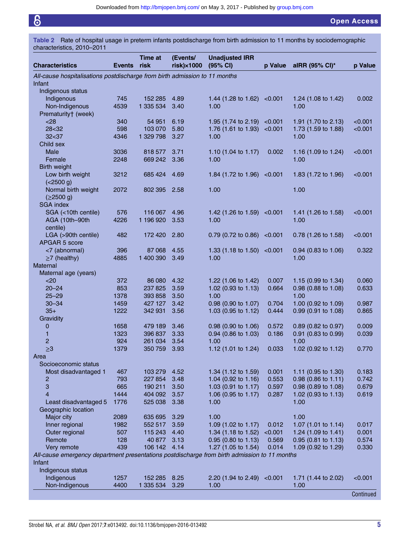<span id="page-6-0"></span>

Table 2 Rate of hospital usage in preterm infants postdischarge from birth admission to 11 months by sociodemographic characteristics, 2010–2011

| <b>Characteristics</b>                                                                       | <b>Events</b> | Time at<br>risk   | (Events/<br>$risk) \times 1000$ | <b>Unadjusted IRR</b><br>(95% CI) | p Value        | alRR (95% CI)*                 | p Value        |
|----------------------------------------------------------------------------------------------|---------------|-------------------|---------------------------------|-----------------------------------|----------------|--------------------------------|----------------|
| All-cause hospitalisations postdischarge from birth admission to 11 months<br>Infant         |               |                   |                                 |                                   |                |                                |                |
| Indigenous status                                                                            |               |                   |                                 |                                   |                |                                |                |
| Indigenous                                                                                   | 745           | 152 285           | 4.89                            | 1.44 (1.28 to 1.62)               | < 0.001        | 1.24 (1.08 to 1.42)            | 0.002          |
| Non-Indigenous                                                                               | 4539          | 1 335 534         | 3.40                            | 1.00                              |                | 1.00                           |                |
| Prematurity† (week)                                                                          |               |                   |                                 |                                   |                |                                |                |
| $28$                                                                                         | 340           | 54 951            | 6.19                            | 1.95 (1.74 to 2.19)               | < 0.001        | 1.91 (1.70 to 2.13)            | < 0.001        |
| 28<32                                                                                        | 598           | 103 070           | 5.80                            | 1.76 (1.61 to 1.93)               | < 0.001        | 1.73 (1.59 to 1.88)            | < 0.001        |
| 32<37                                                                                        | 4346          | 1 329 798         | 3.27                            | 1.00                              |                | 1.00                           |                |
| Child sex                                                                                    |               |                   |                                 |                                   |                |                                |                |
| Male                                                                                         | 3036          | 818 577           | 3.71                            | 1.10 (1.04 to 1.17)               | 0.002          | 1.16 (1.09 to 1.24)            | < 0.001        |
| Female                                                                                       | 2248          | 669 242           | 3.36                            | 1.00                              |                | 1.00                           |                |
| Birth weight                                                                                 |               |                   |                                 |                                   |                |                                |                |
| Low birth weight                                                                             | 3212          | 685 424           | 4.69                            | 1.84 (1.72 to 1.96)               | < 0.001        | 1.83 (1.72 to 1.96)            | < 0.001        |
| (<2500 g)                                                                                    |               |                   |                                 |                                   |                |                                |                |
| Normal birth weight                                                                          | 2072          | 802 395 2.58      |                                 | 1.00                              |                | 1.00                           |                |
| (≥2500 g)                                                                                    |               |                   |                                 |                                   |                |                                |                |
| <b>SGA index</b>                                                                             |               |                   |                                 |                                   |                |                                |                |
| SGA (<10th centile)                                                                          | 576           | 116 067           | 4.96                            | 1.42 $(1.26 \text{ to } 1.59)$    | < 0.001        | 1.41 (1.26 to 1.58)            | < 0.001        |
| AGA (10th-90th                                                                               | 4226          | 1 196 920         | 3.53                            | 1.00                              |                | 1.00                           |                |
| centile)                                                                                     |               |                   |                                 |                                   |                |                                |                |
| LGA (>90th centile)                                                                          | 482           | 172 420           | 2.80                            | 0.79 (0.72 to 0.86)               | < 0.001        | 0.78 (1.26 to 1.58)            | < 0.001        |
| APGAR 5 score                                                                                |               |                   |                                 |                                   |                |                                |                |
| <7 (abnormal)                                                                                | 396           | 87068             | 4.55                            | 1.33 $(1.18 \text{ to } 1.50)$    | < 0.001        | $0.94$ (0.83 to 1.06)          | 0.322          |
| $\geq$ 7 (healthy)                                                                           | 4885          | 1 400 390         | 3.49                            | 1.00                              |                | 1.00                           |                |
| <b>Maternal</b>                                                                              |               |                   |                                 |                                   |                |                                |                |
| Maternal age (years)                                                                         |               |                   |                                 |                                   |                |                                |                |
| $20$<br>$20 - 24$                                                                            | 372<br>853    | 86 080<br>237 825 | 4.32<br>3.59                    | 1.22 (1.06 to 1.42)               | 0.007<br>0.664 | 1.15 $(0.99 \text{ to } 1.34)$ | 0.060<br>0.633 |
| $25 - 29$                                                                                    | 1378          | 393 858           | 3.50                            | 1.02 (0.93 to 1.13)<br>1.00       |                | 0.98 (0.88 to 1.08)<br>1.00    |                |
| $30 - 34$                                                                                    | 1459          | 427 127           | 3.42                            | 0.98 (0.90 to 1.07)               | 0.704          | 1.00 (0.92 to 1.09)            | 0.987          |
| $35+$                                                                                        | 1222          | 342 931           | 3.56                            | 1.03 (0.95 to 1.12)               | 0.444          | $0.99$ (0.91 to 1.08)          | 0.865          |
| Gravidity                                                                                    |               |                   |                                 |                                   |                |                                |                |
| 0                                                                                            | 1658          | 479 189           | 3.46                            | $0.98$ (0.90 to 1.06)             | 0.572          | 0.89 (0.82 to 0.97)            | 0.009          |
| 1                                                                                            | 1323          | 396 837           | 3.33                            | 0.94 (0.86 to 1.03)               | 0.186          | 0.91 (0.83 to 0.99)            | 0.039          |
| $\overline{c}$                                                                               | 924           | 261 034           | 3.54                            | 1.00                              |                | 1.00                           |                |
| $\geq 3$                                                                                     | 1379          | 350 759           | 3.93                            | 1.12 (1.01 to 1.24)               | 0.033          | 1.02 (0.92 to 1.12)            | 0.770          |
| Area                                                                                         |               |                   |                                 |                                   |                |                                |                |
| Socioeconomic status                                                                         |               |                   |                                 |                                   |                |                                |                |
| Most disadvantaged 1                                                                         | 467           | 103 279           | 4.52                            | 1.34 (1.12 to 1.59)               | 0.001          | 1.11 (0.95 to 1.30)            | 0.183          |
| 2                                                                                            | 793           | 227 854           | 3.48                            | 1.04 (0.92 to 1.16)               | 0.553          | 0.98 (0.86 to 1.11)            | 0.742          |
| 3                                                                                            | 665           | 190 211           | 3.50                            | 1.03 (0.91 to 1.17)               | 0.597          | 0.98 (0.89 to 1.08)            | 0.679          |
| 4                                                                                            | 1444          | 404 092           | 3.57                            | 1.06 (0.95 to 1.17)               | 0.287          | 1.02 (0.93 to 1.13)            | 0.619          |
| Least disadvantaged 5                                                                        | 1776          | 525 038           | 3.38                            | 1.00                              |                | 1.00                           |                |
| Geographic location                                                                          |               |                   |                                 |                                   |                |                                |                |
| Major city                                                                                   | 2089          | 635 695           | 3.29                            | 1.00                              |                | 1.00                           |                |
| Inner regional                                                                               | 1982          | 552 517           | 3.59                            | 1.09 (1.02 to 1.17)               | 0.012          | 1.07 (1.01 to 1.14)            | 0.017          |
| Outer regional                                                                               | 507           | 115 243           | 4.40                            | 1.34 (1.18 to 1.52)               | < 0.001        | 1.24 (1.09 to 1.41)            | 0.001          |
| Remote                                                                                       | 128           | 40 877            | 3.13                            | 0.95 (0.80 to 1.13)               | 0.569          | $0.95$ (0.81 to 1.13)          | 0.574          |
| Very remote                                                                                  | 439           | 106 142           | 4.14                            | 1.27 (1.05 to 1.54)               | 0.014          | 1.09 (0.92 to 1.29)            | 0.330          |
| All-cause emergency department presentations postdischarge from birth admission to 11 months |               |                   |                                 |                                   |                |                                |                |
| Infant                                                                                       |               |                   |                                 |                                   |                |                                |                |
| Indigenous status                                                                            |               |                   |                                 |                                   |                |                                |                |
| Indigenous                                                                                   | 1257          | 152 285           | 8.25                            | 2.20 (1.94 to 2.49)               | < 0.001        | 1.71 (1.44 to 2.02)            | < 0.001        |
| Non-Indigenous                                                                               | 4400          | 1 335 534         | 3.29                            | 1.00                              |                | 1.00                           |                |
|                                                                                              |               |                   |                                 |                                   |                |                                | Continued      |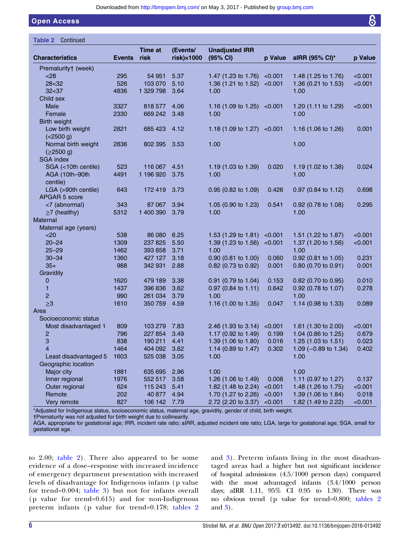#### Open Access

| Continued<br>Table 2   |               |                        |                                 |                                   |         |                                 |         |
|------------------------|---------------|------------------------|---------------------------------|-----------------------------------|---------|---------------------------------|---------|
| <b>Characteristics</b> | <b>Events</b> | <b>Time at</b><br>risk | (Events/<br>$risk) \times 1000$ | <b>Unadjusted IRR</b><br>(95% CI) | p Value | alRR (95% CI)*                  | p Value |
| Prematurity† (week)    |               |                        |                                 |                                   |         |                                 |         |
| < 28                   | 295           | 54 951                 | 5.37                            | 1.47 (1.23 to 1.76)               | < 0.001 | 1.48 (1.25 to 1.76)             | < 0.001 |
| 28<32                  | 526           | 103 070                | 5.10                            | 1.36 (1.21 to 1.52)               | < 0.001 | 1.36 (0.21 to 1.53)             | < 0.001 |
| 32<37                  | 4836          | 1 329 798              | 3.64                            | 1.00                              |         | 1.00                            |         |
| Child sex              |               |                        |                                 |                                   |         |                                 |         |
| Male                   | 3327          | 818 577                | 4.06                            | 1.16 (1.09 to 1.25)               | < 0.001 | 1.20 (1.11 to 1.29)             | < 0.001 |
| Female                 | 2330          | 669 242                | 3.48                            | 1.00                              |         | 1.00                            |         |
| Birth weight           |               |                        |                                 |                                   |         |                                 |         |
| Low birth weight       | 2821          | 685 423                | 4.12                            | 1.18 $(1.09 \text{ to } 1.27)$    | < 0.001 | 1.16 (1.06 to 1.26)             | 0.001   |
| (<2500 g)              |               |                        |                                 |                                   |         |                                 |         |
| Normal birth weight    | 2836          | 802 395                | 3.53                            | 1.00                              |         | 1.00                            |         |
| (≥2500 g)              |               |                        |                                 |                                   |         |                                 |         |
| <b>SGA index</b>       |               |                        |                                 |                                   |         |                                 |         |
| SGA (<10th centile)    | 523           | 116 067                | 4.51                            | 1.19 (1.03 to 1.39)               | 0.020   | 1.19 (1.02 to 1.38)             | 0.024   |
| AGA (10th-90th         | 4491          | 1 196 920              | 3.75                            | 1.00                              |         | 1.00                            |         |
| centile)               |               |                        |                                 |                                   |         |                                 |         |
| LGA (>90th centile)    | 643           | 172419                 | 3.73                            | 0.95 (0.82 to 1.09)               | 0.426   | $0.97$ (0.84 to 1.12)           | 0.698   |
| <b>APGAR 5 score</b>   |               |                        |                                 |                                   |         |                                 |         |
| <7 (abnormal)          | 343           | 87 067                 | 3.94                            | 1.05 (0.90 to 1.23)               | 0.541   | 0.92 (0.78 to 1.08)             | 0.295   |
| $\geq$ 7 (healthy)     | 5312          | 1 400 390              | 3.79                            | 1.00                              |         | 1.00                            |         |
| Maternal               |               |                        |                                 |                                   |         |                                 |         |
| Maternal age (years)   |               |                        |                                 |                                   |         |                                 |         |
| $20$                   | 538           | 86 080                 | 6.25                            | 1.53 $(1.29 \text{ to } 1.81)$    | < 0.001 | 1.51 (1.22 to 1.87)             | < 0.001 |
| $20 - 24$              | 1309          | 237 825                | 5.50                            | 1.39 (1.23 to 1.56)               | < 0.001 | 1.37 (1.20 to 1.56)             | < 0.001 |
| $25 - 29$              | 1462          | 393 858                | 3.71                            | 1.00                              |         | 1.00                            |         |
| $30 - 34$              | 1360          | 427 127                | 3.18                            | 0.90 (0.81 to 1.00)               | 0.060   | $0.92$ (0.81 to 1.05)           | 0.231   |
| $35+$                  | 988           | 342 931                | 2.88                            | 0.82 (0.73 to 0.92)               | 0.001   | 0.80 (0.70 to 0.91)             | 0.001   |
| Gravidity              |               |                        |                                 |                                   |         |                                 |         |
| 0                      | 1620          | 479 189                | 3.38                            | 0.91 (0.79 to 1.04)               | 0.153   | 0.82 (0.70 to 0.95)             | 0.010   |
| 1                      | 1437          | 396 836                | 3.62                            | 0.97 (0.84 to 1.11)               | 0.642   | 0.92 (0.78 to 1.07)             | 0.278   |
| $\overline{c}$         | 990           | 261 034                | 3.79                            | 1.00                              |         | 1.00                            |         |
| $\geq 3$               | 1610          | 350 759                | 4.59                            | 1.16 (1.00 to 1.35)               | 0.047   | 1.14 (0.98 to 1.33)             | 0.089   |
| Area                   |               |                        |                                 |                                   |         |                                 |         |
| Socioeconomic status   |               |                        |                                 |                                   |         |                                 |         |
| Most disadvantaged 1   | 809           | 103 279                | 7.83                            | 2.46 (1.93 to 3.14)               | < 0.001 | 1.61 (1.30 to 2.00)             | < 0.001 |
| 2                      | 796           | 227 854                | 3.49                            | 1.17 (0.92 to 1.49)               | 0.199   | 1.04 (0.86 to 1.25)             | 0.679   |
| 3                      | 838           | 190 211                | 4.41                            | 1.39 (1.06 to 1.80)               | 0.016   | 1.25 (1.03 to 1.51)             | 0.023   |
| 4                      | 1464          | 404 092                | 3.62                            | 1.14 (0.89 to 1.47)               | 0.302   | 1.09 $(-0.89 \text{ to } 1.34)$ | 0.402   |
| Least disadvantaged 5  | 1603          | 525 038                | 3.05                            | 1.00                              |         | 1.00                            |         |
| Geographic location    |               |                        |                                 |                                   |         |                                 |         |
| Major city             | 1881          | 635 695                | 2.96                            | 1.00                              |         | 1.00                            |         |
| Inner regional         | 1976          | 552 517                | 3.58                            | 1.26 (1.06 to 1.49)               | 0.008   | 1.11 (0.97 to 1.27)             | 0.137   |
| Outer regional         | 624           | 115 243                | 5.41                            | 1.82 (1.48 to 2.24)               | < 0.001 | 1.48 (1.26 to 1.75)             | < 0.001 |
| Remote                 | 202           | 40 877                 | 4.94                            | 1.70 (1.27 to 2.26)               | < 0.001 | 1.39 (1.06 to 1.84)             | 0.018   |
| Very remote            | 827           | 106 142 7.79           |                                 | 2.72 (2.20 to 3.37)               | < 0.001 | 1.82 (1.49 to 2.22)             | < 0.001 |
|                        |               |                        |                                 |                                   |         |                                 |         |

\*Adjusted for Indigenous status, socioeconomic status, maternal age, gravidity, gender of child, birth weight.

†Prematurity was not adjusted for birth weight due to collinearity.

AGA, appropriate for gestational age; IRR, incident rate ratio; aIRR, adjusted incident rate ratio; LGA, large for gestational age; SGA, small for gestational age.

to 2.00; [table 2\)](#page-6-0). There also appeared to be some evidence of a dose–response with increased incidence of emergency department presentation with increased levels of disadvantage for Indigenous infants ( p value for trend=0.004; [table 3\)](#page-8-0) but not for infants overall ( p value for trend=0.615) and for non-Indigenous preterm infants (p value for trend=0.178; [tables 2](#page-6-0) and [3](#page-8-0)). Preterm infants living in the most disadvantaged areas had a higher but not significant incidence of hospital admissions (4.5/1000 person days) compared with the most advantaged infants (3.4/1000 person days; aIRR 1.11, 95% CI 0.95 to 1.30). There was no obvious trend (p value for trend=0.800; [tables 2](#page-6-0) and [3](#page-8-0)).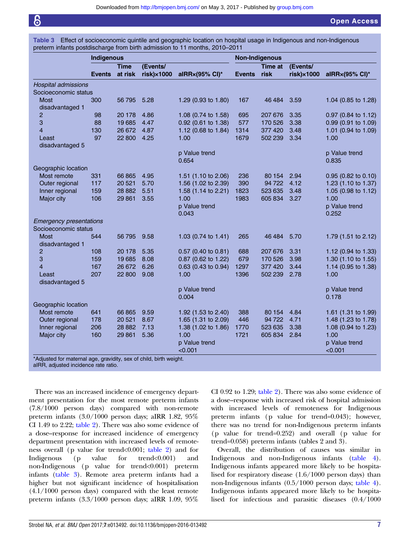<span id="page-8-0"></span>Table 3 Effect of socioeconomic quintile and geographic location on hospital usage in Indigenous and non-Indigenous preterm infants postdischarge from birth admission to 11 months, 2010–2011

| <b>Time</b><br>at risk<br><b>Events</b><br>300<br>56 795<br>98<br>20 178<br>88<br>19685<br>130<br>26 672<br>97<br>22 800 | (Events/<br>$risk) \times 1000$<br>5.28<br>4.86<br>4.47<br>4.87<br>4.25 | alRRx(95% CI)*<br>1.29 (0.93 to 1.80)<br>1.08 (0.74 to 1.58)<br>0.92 (0.61 to 1.38)<br>1.12 (0.68 to 1.84)<br>1.00                        | <b>Events</b><br>167<br>695<br>577<br>1314                                         | Time at<br>risk<br>46 4 84<br>207 676<br>170 526 | (Events/<br>$risk) \times 1000$<br>3.59<br>3.35                    | alRRx(95% CI)*<br>1.04 (0.85 to 1.28)<br>0.97 (0.84 to 1.12) |
|--------------------------------------------------------------------------------------------------------------------------|-------------------------------------------------------------------------|-------------------------------------------------------------------------------------------------------------------------------------------|------------------------------------------------------------------------------------|--------------------------------------------------|--------------------------------------------------------------------|--------------------------------------------------------------|
|                                                                                                                          |                                                                         |                                                                                                                                           |                                                                                    |                                                  |                                                                    |                                                              |
|                                                                                                                          |                                                                         |                                                                                                                                           |                                                                                    |                                                  |                                                                    |                                                              |
|                                                                                                                          |                                                                         |                                                                                                                                           |                                                                                    |                                                  |                                                                    |                                                              |
|                                                                                                                          |                                                                         |                                                                                                                                           |                                                                                    |                                                  |                                                                    |                                                              |
|                                                                                                                          |                                                                         |                                                                                                                                           |                                                                                    |                                                  |                                                                    |                                                              |
|                                                                                                                          |                                                                         |                                                                                                                                           |                                                                                    |                                                  |                                                                    |                                                              |
|                                                                                                                          |                                                                         |                                                                                                                                           |                                                                                    |                                                  |                                                                    |                                                              |
|                                                                                                                          |                                                                         |                                                                                                                                           |                                                                                    |                                                  | 3.38                                                               | 0.99 (0.91 to 1.09)                                          |
|                                                                                                                          |                                                                         |                                                                                                                                           |                                                                                    | 377 420                                          | 3.48                                                               | 1.01 (0.94 to 1.09)                                          |
|                                                                                                                          |                                                                         |                                                                                                                                           | 1679                                                                               | 502 239                                          | 3.34                                                               | 1.00                                                         |
|                                                                                                                          |                                                                         |                                                                                                                                           |                                                                                    |                                                  |                                                                    |                                                              |
|                                                                                                                          |                                                                         | p Value trend                                                                                                                             |                                                                                    |                                                  |                                                                    | p Value trend                                                |
|                                                                                                                          |                                                                         | 0.654                                                                                                                                     |                                                                                    |                                                  |                                                                    | 0.835                                                        |
|                                                                                                                          |                                                                         |                                                                                                                                           |                                                                                    |                                                  |                                                                    |                                                              |
| 331                                                                                                                      | 4.95                                                                    | 1.51 (1.10 to 2.06)                                                                                                                       | 236                                                                                | 80 154                                           | 2.94                                                               | 0.95 (0.82 to 0.10)                                          |
| 117                                                                                                                      | 5.70                                                                    | 1.56 (1.02 to 2.39)                                                                                                                       | 390                                                                                | 94 722                                           | 4.12                                                               | 1.23 (1.10 to 1.37)                                          |
| 159                                                                                                                      | 5.51                                                                    | 1.58 (1.14 to 2.21)                                                                                                                       | 1823                                                                               | 523 635                                          | 3.48                                                               | 1.05 (0.98 to 1.12)                                          |
| 106                                                                                                                      | 3.55                                                                    | 1.00                                                                                                                                      | 1983                                                                               | 605 834                                          | 3.27                                                               | 1.00                                                         |
|                                                                                                                          |                                                                         | p Value trend                                                                                                                             |                                                                                    |                                                  |                                                                    | p Value trend                                                |
|                                                                                                                          |                                                                         | 0.043                                                                                                                                     |                                                                                    |                                                  |                                                                    | 0.252                                                        |
| <b>Emergency presentations</b>                                                                                           |                                                                         |                                                                                                                                           |                                                                                    |                                                  |                                                                    |                                                              |
|                                                                                                                          |                                                                         |                                                                                                                                           |                                                                                    |                                                  |                                                                    |                                                              |
| 544                                                                                                                      | 9.58                                                                    | 1.03 $(0.74 \text{ to } 1.41)$                                                                                                            | 265                                                                                |                                                  | 5.70                                                               | 1.79 (1.51 to 2.12)                                          |
|                                                                                                                          |                                                                         |                                                                                                                                           |                                                                                    |                                                  |                                                                    |                                                              |
| 108                                                                                                                      | 5.35                                                                    | $0.57$ (0.40 to 0.81)                                                                                                                     | 688                                                                                | 207 676                                          | 3.31                                                               | 1.12 (0.94 to 1.33)                                          |
| 159                                                                                                                      |                                                                         |                                                                                                                                           |                                                                                    | 170 526                                          | 3.98                                                               | 1.30 (1.10 to 1.55)                                          |
| 167                                                                                                                      | 6.26                                                                    | $0.63$ (0.43 to 0.94)                                                                                                                     | 1297                                                                               | 377 420                                          | 3.44                                                               | 1.14 (0.95 to 1.38)                                          |
| 207                                                                                                                      | 9.08                                                                    | 1.00                                                                                                                                      | 1396                                                                               | 502 239                                          | 2.78                                                               | 1.00                                                         |
|                                                                                                                          |                                                                         |                                                                                                                                           |                                                                                    |                                                  |                                                                    |                                                              |
|                                                                                                                          |                                                                         | p Value trend                                                                                                                             |                                                                                    |                                                  |                                                                    | p Value trend                                                |
|                                                                                                                          |                                                                         | 0.004                                                                                                                                     |                                                                                    |                                                  |                                                                    | 0.178                                                        |
|                                                                                                                          |                                                                         |                                                                                                                                           |                                                                                    |                                                  |                                                                    |                                                              |
| 641                                                                                                                      | 9.59                                                                    |                                                                                                                                           | 388                                                                                |                                                  | 4.84                                                               | 1.61 $(1.31 \text{ to } 1.99)$                               |
| 178                                                                                                                      | 8.67                                                                    |                                                                                                                                           | 446                                                                                | 94 722                                           | 4.71                                                               | 1.48 (1.23 to 1.78)                                          |
| 206                                                                                                                      | 7.13                                                                    | 1.38 (1.02 to 1.86)                                                                                                                       | 1770                                                                               | 523 635                                          | 3.38                                                               | 1.08 (0.94 to 1.23)                                          |
| 160                                                                                                                      | 5.36                                                                    | 1.00                                                                                                                                      | 1721                                                                               |                                                  | 2.84                                                               | 1.00                                                         |
|                                                                                                                          |                                                                         |                                                                                                                                           |                                                                                    |                                                  |                                                                    | p Value trend                                                |
|                                                                                                                          |                                                                         | < 0.001                                                                                                                                   |                                                                                    |                                                  |                                                                    | < 0.001                                                      |
|                                                                                                                          |                                                                         | 66 865<br>20 5 21<br>28 8 82<br>29 861<br>56 795<br>20 178<br>19685<br>8.08<br>26 672<br>22 800<br>66 865<br>20 5 21<br>28 8 82<br>29 861 | 0.87 (0.62 to 1.22)<br>1.92 (1.53 to 2.40)<br>1.65 (1.31 to 2.09)<br>p Value trend | 679                                              | *Adjusted for maternal age, gravidity, sex of child, birth weight. | 46 4 84<br>80 154<br>605 834                                 |

aIRR, adjusted incidence rate ratio.

There was an increased incidence of emergency department presentation for the most remote preterm infants (7.8/1000 person days) compared with non-remote preterm infants (3.0/1000 person days; aIRR 1.82, 95% CI 1.49 to 2.22; [table 2\)](#page-6-0). There was also some evidence of a dose–response for increased incidence of emergency department presentation with increased levels of remoteness overall (p value for trend<0.001; [table 2\)](#page-6-0) and for Indigenous (p value for trend<0.001) and non-Indigenous (p value for trend<0.001) preterm infants (table 3). Remote area preterm infants had a higher but not significant incidence of hospitalisation (4.1/1000 person days) compared with the least remote preterm infants (3.3/1000 person days; aIRR 1.09, 95%

CI 0.92 to 1.29; [table 2\)](#page-6-0). There was also some evidence of a dose–response with increased risk of hospital admission with increased levels of remoteness for Indigenous preterm infants (p value for trend=0.043); however, there was no trend for non-Indigenous preterm infants (p value for trend=0.252) and overall (p value for trend=0.058) preterm infants ([tables 2 and 3](http://dx.doi.org/10.1136/bmjopen-2016-013492)).

Overall, the distribution of causes was similar in Indigenous and non-Indigenous infants [\(table 4\)](#page-9-0). Indigenous infants appeared more likely to be hospitalised for respiratory disease (1.6/1000 person days) than non-Indigenous infants (0.5/1000 person days; [table 4\)](#page-9-0). Indigenous infants appeared more likely to be hospitalised for infectious and parasitic diseases (0.4/1000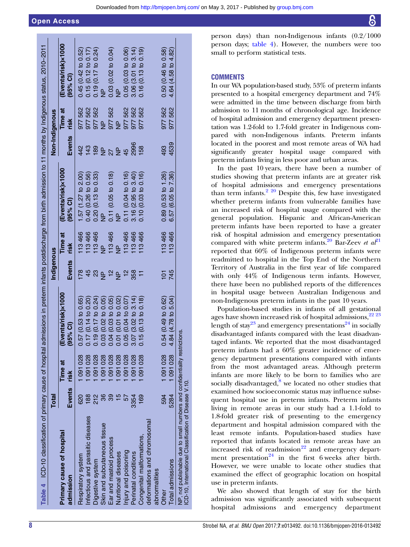#### <span id="page-9-0"></span>Open Access

| Downloaded from http://bmjopen.bmj.com/ on May 3, 2017 - Published by group.bmj.com |  |  |
|-------------------------------------------------------------------------------------|--|--|
|-------------------------------------------------------------------------------------|--|--|

| Table 4 ICD-10 classification of primary cause of hospital                                                                          |                |                 |                                |               |                        | admissions in preterm infants postdischarge from birth admission to 11 months by Indigenous status, 2010-2011 |                          |                        |                                                     |  |
|-------------------------------------------------------------------------------------------------------------------------------------|----------------|-----------------|--------------------------------|---------------|------------------------|---------------------------------------------------------------------------------------------------------------|--------------------------|------------------------|-----------------------------------------------------|--|
|                                                                                                                                     | <b>Total</b>   |                 |                                | Indigenous    |                        |                                                                                                               | Non-Indigenous           |                        |                                                     |  |
| Primary cause of hospital<br>admission                                                                                              | Events         | Time at<br>risk | (Events/risk)×1000<br>(95% CI) | Events        | <b>Time</b> at<br>risk | (Events/risk)×1000<br>(95% Cl)                                                                                | Events                   | <b>Time at</b><br>risk | (Events/risk)x1000<br>(95% Cl)                      |  |
| Respiratory system                                                                                                                  | 820            | 091028          | 0.57(0.53 to 0.65)             | 178           | 113466                 | 1.57 (1.27 to 2.00)                                                                                           | 442                      | 977562                 | 0.45(0.42 to 0.52)                                  |  |
| Infectious and parasitic diseases                                                                                                   | $\frac{88}{5}$ | 091028          | 0.17(0.14 to 0.20)             |               | 113466                 | 0.40 (0.26 to 0.56)                                                                                           | 143                      | 977562                 |                                                     |  |
| Digestive system                                                                                                                    | 212            | 091028          | 0.19(0.17 to 0.24)             | 23            | 113466                 | 0.20(0.13 to 0.33)                                                                                            | 189                      | 977562                 | $0.15(0.12 to 0.17)$<br>0.19 $(0.17 to 0.24)$<br>NP |  |
| Skin and subcutaneous tissue                                                                                                        |                | 091028          | 0.03(0.02 to 0.05)             | $\frac{a}{2}$ | $\frac{a}{Z}$          | $\frac{p}{2}$                                                                                                 | $\frac{p}{\overline{z}}$ | $\frac{a}{Z}$          |                                                     |  |
| Ear and mastoid process                                                                                                             |                | 091028          | 0.04 (0.03 to 0.05)            | 12            | 113466                 | 0.11(0.05 to 0.18)                                                                                            | $\frac{27}{2}$           | 977562                 | 0.03(0.02 to 0.04)                                  |  |
| Nutritional diseases                                                                                                                |                | 091028          | 0.01 (0.01 to 0.02)            | $\frac{a}{2}$ | $\frac{p}{Z}$          | $\frac{a}{Z}$                                                                                                 |                          | $\frac{p}{Z}$          | $\frac{a}{Z}$                                       |  |
| Injury and poisoning                                                                                                                |                | 091028          | 0.05(0.04 to 0.07)             | $\frac{1}{2}$ | 113466                 | 0.11 (0.04 to 0.16)                                                                                           | 45                       | 977562                 | 0.05(0.03 to 0.06)                                  |  |
| Perinatal conditions                                                                                                                | 3354           | 091028          | 3.07(3.02 to 3.14)             | 358           | 113466                 | 3.16 (2.95 to 3.40)                                                                                           | 2996                     | 977 562                | 3.06(3.01 to 3.14)                                  |  |
| Congenital malformations,                                                                                                           | 169            | 091028          | 0.15(0.13 to 0.18)             |               | 113466                 | 0.10 (0.03 to 0.16)                                                                                           | 158                      | 977 562                | 0.16(0.13 to 0.19)                                  |  |
| deformations and chromosomal                                                                                                        |                |                 |                                |               |                        |                                                                                                               |                          |                        |                                                     |  |
| abnormalities                                                                                                                       |                |                 |                                |               |                        |                                                                                                               |                          |                        |                                                     |  |
| Other                                                                                                                               | 594            | 1091028         | 0.54(0.49 to 0.62)             | 101           | 113466                 | 0.89(0.53 to 1.26)                                                                                            | 493                      | 977 562                | 0.50(0.46 to 0.58)                                  |  |
| Total admissions                                                                                                                    | 5284           | 091028          | 4.84 (4.78 to 5.04)            | 745           | 113466                 | 6.57 (6.05 to 7.36)                                                                                           | 4539                     | 977 562                | 4.64 (4.58 to 4.82)                                 |  |
| NP, not publishable due to small numbers and confidentiality restrictions.<br>ICD-10, International Classification of Disease V.10. |                |                 |                                |               |                        |                                                                                                               |                          |                        |                                                     |  |

person days) than non-Indigenous infants (0.2/1000 person days; table 4). However, the numbers were too small to perform statistical tests.

#### **COMMENTS**

In our WA population-based study, 53% of preterm infants presented to a hospital emergency department and 74% were admitted in the time between discharge from birth admission to 11 months of chronological age. Incidence of hospital admission and emergency department presentation was 1.2-fold to 1.7-fold greater in Indigenous compared with non-Indigenous infants. Preterm infants located in the poorest and most remote areas of WA had significantly greater hospital usage compared with preterm infants living in less poor and urban areas.

In the past 10 years, there have been a number of studies showing that preterm infants are at greater risk of hospital admissions and emergency presentations than term infants.<sup>[2 20](#page-11-0)</sup> Despite this, few have investigated whether preterm infants from vulnerable families have an increased risk of hospital usage compared with the general population. Hispanic and African-American preterm infants have been reported to have a greater risk of hospital admission and emergency presentation compared with white preterm infants.<sup>20</sup> Bar-Zeev et  $a<sup>{p_1}</sup>$ reported that 60% of Indigenous preterm infants were readmitted to hospital in the Top End of the Northern Territory of Australia in the first year of life compared with only 44% of Indigenous term infants. However, there have been no published reports of the differences in hospital usage between Australian Indigenous and non-Indigenous preterm infants in the past 10 years.

Population-based studies in infants of all gestational ages have shown increased risk of hospital admissions,  $22^{22}$ length of stay<sup>[23](#page-11-0)</sup> and emergency presentations<sup>24</sup> in socially disadvantaged infants compared with the least disadvantaged infants. We reported that the most disadvantaged preterm infants had a 60% greater incidence of emergency department presentations compared with infants from the most advantaged areas. Although preterm infants are more likely to be born to families who are socially disadvantaged, $8$  we located no other studies that examined how socioeconomic status may influence subsequent hospital use in preterm infants. Preterm infants living in remote areas in our study had a 1.1-fold to 1.8-fold greater risk of presenting to the emergency department and hospital admission compared with the least remote infants. Population-based studies have reported that infants located in remote areas have an increased risk of readmission $^{22}$  $^{22}$  $^{22}$  and emergency depart-ment presentation<sup>[24](#page-11-0)</sup> in the first 6 weeks after birth. However, we were unable to locate other studies that examined the effect of geographic location on hospital use in preterm infants.

We also showed that length of stay for the birth admission was significantly associated with subsequent hospital admissions and emergency department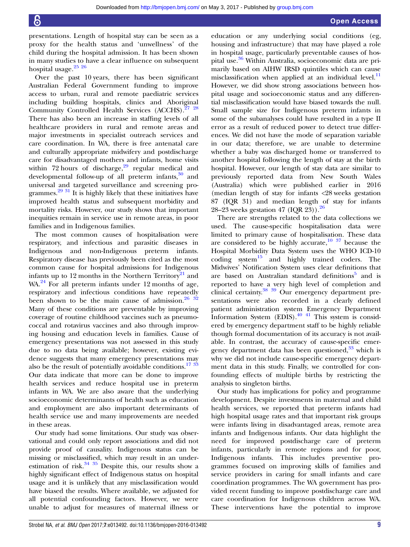presentations. Length of hospital stay can be seen as a proxy for the health status and 'unwellness' of the child during the hospital admission. It has been shown in many studies to have a clear influence on subsequent hospital usage.<sup>25</sup> <sup>26</sup>

Over the past 10 years, there has been significant Australian Federal Government funding to improve access to urban, rural and remote paediatric services including building hospitals, clinics and Aboriginal Community Controlled Health Services (ACCHS).<sup>27</sup> <sup>28</sup> There has also been an increase in staffing levels of all healthcare providers in rural and remote areas and major investments in specialist outreach services and care coordination. In WA, there is free antenatal care and culturally appropriate midwifery and postdischarge care for disadvantaged mothers and infants, home visits within 72 hours of discharge, $29$  regular medical and developmental follow-up of all preterm infants,<sup>[30](#page-11-0)</sup> and universal and targeted surveillance and screening pro-grammes.<sup>[29 31](#page-11-0)</sup> It is highly likely that these initiatives have improved health status and subsequent morbidity and mortality risks. However, our study shows that important inequities remain in service use in remote areas, in poor families and in Indigenous families.

The most common causes of hospitalisation were respiratory, and infectious and parasitic diseases in Indigenous and non-Indigenous preterm infants. Respiratory disease has previously been cited as the most common cause for hospital admissions for Indigenous infants up to 12 months in the Northern Territory $^{21}$  $^{21}$  $^{21}$  and  $WA<sup>24</sup>$  $WA<sup>24</sup>$  $WA<sup>24</sup>$  For all preterm infants under 12 months of age, respiratory and infectious conditions have repeatedly been shown to be the main cause of admission. $26 \frac{32}{2}$ Many of these conditions are preventable by improving coverage of routine childhood vaccines such as pneumococcal and rotavirus vaccines and also through improving housing and education levels in families. Cause of emergency presentations was not assessed in this study due to no data being available; however, existing evidence suggests that many emergency presentations may also be the result of potentially avoidable conditions.<sup>[17](#page-11-0) [33](#page-12-0)</sup> Our data indicate that more can be done to improve health services and reduce hospital use in preterm infants in WA. We are also aware that the underlying socioeconomic determinants of health such as education and employment are also important determinants of health service use and many improvements are needed in these areas.

Our study had some limitations. Our study was observational and could only report associations and did not provide proof of causality. Indigenous status can be missing or misclassified, which may result in an underestimation of risk. $34 \frac{35}{12}$  Despite this, our results show a highly significant effect of Indigenous status on hospital usage and it is unlikely that any misclassification would have biased the results. Where available, we adjusted for all potential confounding factors. However, we were unable to adjust for measures of maternal illness or

education or any underlying social conditions (eg, housing and infrastructure) that may have played a role in hospital usage, particularly preventable causes of hospital use.[36](#page-12-0) Within Australia, socioeconomic data are primarily based on AIHW IRSD quintiles which can cause misclassification when applied at an individual level. $^{11}$  $^{11}$  $^{11}$ However, we did show strong associations between hospital usage and socioeconomic status and any differential misclassification would have biased towards the null. Small sample size for Indigenous preterm infants in some of the subanalyses could have resulted in a type II error as a result of reduced power to detect true differences. We did not have the mode of separation variable in our data; therefore, we are unable to determine whether a baby was discharged home or transferred to another hospital following the length of stay at the birth hospital. However, our length of stay data are similar to previously reported data from New South Wales (Australia) which were published earlier in 2016 (median length of stay for infants <28 weeks gestation 87 (IQR 31) and median length of stay for infants 28–23 weeks gestation 47 (IQR 23)).  $26$ 

There are strengths related to the data collections we used. The cause-specific hospitalisation data were limited to primary cause of hospitalisation. These data are considered to be highly accurate, $10^{-37}$  $10^{-37}$  because the Hospital Morbidity Data System uses the WHO ICD-10  $\text{coding system}^{15}$  $\text{coding system}^{15}$  $\text{coding system}^{15}$  and highly trained coders. The Midwives' Notification System uses clear definitions that are based on Australian standard definitions<sup>[5](#page-11-0)</sup> and is reported to have a very high level of completion and clinical certainty[.38 39](#page-12-0) Our emergency department presentations were also recorded in a clearly defined patient administration system Emergency Department Information System (EDIS). $40\frac{41}{1}$  This system is considered by emergency department staff to be highly reliable though formal documentation of its accuracy is not available. In contrast, the accuracy of cause-specific emergency department data has been questioned,  $33$  which is why we did not include cause-specific emergency department data in this study. Finally, we controlled for confounding effects of multiple births by restricting the analysis to singleton births.

Our study has implications for policy and programme development. Despite investments in maternal and child health services, we reported that preterm infants had high hospital usage rates and that important risk groups were infants living in disadvantaged areas, remote area infants and Indigenous infants. Our data highlight the need for improved postdischarge care of preterm infants, particularly in remote regions and for poor, Indigenous infants. This includes preventive programmes focused on improving skills of families and service providers in caring for small infants and care coordination programmes. The WA government has provided recent funding to improve postdischarge care and care coordination for Indigenous children across WA. These interventions have the potential to improve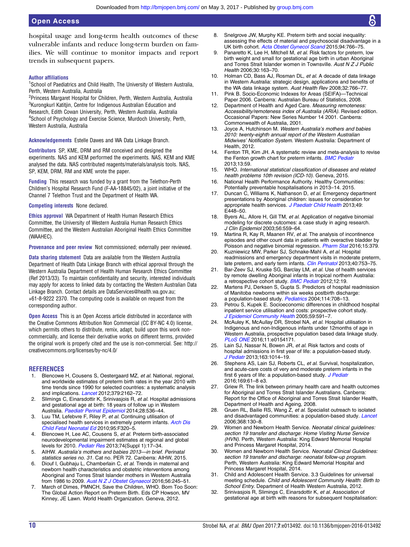<span id="page-11-0"></span>hospital usage and long-term health outcomes of these vulnerable infants and reduce long-term burden on families. We will continue to monitor impacts and report trends in subsequent papers.

#### Author affiliations

<sup>1</sup>School of Paediatrics and Child Health, The University of Western Australia, Perth, Western Australia, Australia

<sup>2</sup>Princess Margaret Hospital for Children, Perth, Western Australia, Australia <sup>3</sup>Kurongkurl Katitjin, Centre for Indigenous Australian Education and Research, Edith Cowan University, Perth, Western Australia, Australia <sup>4</sup>School of Psychology and Exercise Science, Murdoch University, Perth, Western Australia, Australia

Acknowledgements Estelle Dawes and WA Data Linkage Branch.

Contributors SP, KME, DRM and RM conceived and designed the experiments. NAS and KEM performed the experiments. NAS, KEM and KME analysed the data. NAS contributed reagents/materials/analysis tools. NAS, SP, KEM, DRM, RM and KME wrote the paper.

Funding This research was funded by a grant from the Telethon-Perth Children's Hospital Research Fund (F-AA-18845/02), a joint initiative of the Channel 7 Telethon Trust and the Department of Health WA.

#### Competing interests None declared.

Ethics approval WA Department of Health Human Research Ethics Committee, the University of Western Australia Human Research Ethics Committee, and the Western Australian Aboriginal Health Ethics Committee (WAAHEC).

Provenance and peer review Not commissioned; externally peer reviewed.

Data sharing statement Data are available from the Western Australia Department of Health Data Linkage Branch with ethical approval through the Western Australia Department of Health Human Research Ethics Committee (Ref 2013/33). To maintain confidentiality and security, interested individuals may apply for access to linked data by contacting the Western Australian Data Linkage Branch. Contact details are DataServices@health.wa.gov.au; +61-8-9222 2370. The computing code is available on request from the corresponding author.

**Open Access** This is an Open Access article distributed in accordance with the Creative Commons Attribution Non Commercial (CC BY-NC 4.0) license, which permits others to distribute, remix, adapt, build upon this work noncommercially, and license their derivative works on different terms, provided the original work is properly cited and the use is non-commercial. See: [http://](http://creativecommons.org/licenses/by-nc/4.0/) [creativecommons.org/licenses/by-nc/4.0/](http://creativecommons.org/licenses/by-nc/4.0/)

#### **REFERENCES**

- 1. Blencowe H, Cousens S, Oestergaard MZ, et al. National, regional, and worldwide estimates of preterm birth rates in the year 2010 with time trends since 1990 for selected countries: a systematic analysis and implications. **[Lancet](http://dx.doi.org/10.1016/S0140-6736(12)60820-4)** 2012;379:2162-72.
- 2. Slimings C, Einarsdottir K, Srinivasjois R, et al. Hospital admissions and gestational age at birth: 18 years of follow up in Western Australia. [Paediatr Perinat Epidemiol](http://dx.doi.org/10.1111/ppe.12155) 2014;28:536–44.
- 3. Luu TM, Lefebvre F, Riley P, et al. Continuing utilisation of specialised health services in extremely preterm infants. [Arch Dis](http://dx.doi.org/10.1136/adc.2009.173138) [Child Fetal Neonatal Ed](http://dx.doi.org/10.1136/adc.2009.173138) 2010;95:F320–5.
- 4. Blencowe H, Lee AC, Cousens S, et al. Preterm birth-associated neurodevelopmental impairment estimates at regional and global levels for 2010. [Pediatr Res](http://dx.doi.org/10.1038/pr.2013.204) 2013;74(Suppl 1):17-34.
- 5. AIHW. Australia's mothers and babies 2013—in brief. Perinatal statistics series no. 31. Cat no. PER 72. Canberra: AIHW, 2015.
- 6. Diouf I, Gubhaju L, Chamberlain C, et al. Trends in maternal and newborn health characteristics and obstetric interventions among Aboriginal and Torres Strait Islander mothers in Western Australia from 1986 to 2009. [Aust N Z J Obstet Gynaecol](http://dx.doi.org/10.1111/ajo.12416) 2016;56:245-51.
- 7. March of Dimes, PMNCH, Save the Children, WHO. Born Too Soon: The Global Action Report on Preterm Birth. Eds CP Howson, MV Kinney, JE Lawn. World Health Organization. Geneva, 2012.
- 8. Snelgrove JW, Murphy KE. Preterm birth and social inequality: assessing the effects of material and psychosocial disadvantage in a UK birth cohort. [Acta Obstet Gynecol Scand](http://dx.doi.org/10.1111/aogs.12648) 2015;94:766–75.
- 9. Panaretto K, Lee H, Mitchell M, et al. Risk factors for preterm, low birth weight and small for gestational age birth in urban Aboriginal and Torres Strait Islander women in Townsville. Aust N Z J Public Health 2006;30:163–70.
- 10. Holman CD, Bass AJ, Rosman DL, et al. A decade of data linkage in Western Australia: strategic design, applications and benefits of the WA data linkage system. Aust Health Rev 2008;32:766–77.
- 11. Pink B. Socio-Economic Indexes for Areas (SEIFA)—Technical Paper 2006. Canberra: Australian Bureau of Statistics, 2008.
- Department of Health and Aged Care. Measuring remoteness: Accessibility/remoteness index of Australia (ARIA). Revised edition. Occasional Papers: New Series Number 14 2001. Canberra: Commonwealth of Australia, 2001.
- 13. Joyce A, Hutchinson M. Western Australia's mothers and babies 2010: twenty-eighth annual report of the Western Australian Midwives' Notification System. Western Australia: Department of Health, 2012.
- 14. Fenton TR, Kim JH. A systematic review and meta-analysis to revise the Fenton growth chart for preterm infants. **[BMC Pediatr](http://dx.doi.org/10.1186/1471-2431-13-59)** 2013;13:59.
- 15. WHO. International statistical classification of diseases and related health problems 10th revision (ICD-10). Geneva, 2015.
- 16. National Health Performance Authority. Healthy Communities: Potentially preventable hospitalisations in 2013–14. 2015.
- 17. Duncan C, Williams K, Nathanson D, et al. Emergency department presentations by Aboriginal children: issues for consideration for appropriate health services. [J Paediatr Child Health](http://dx.doi.org/10.1111/jpc.12225) 2013;49: E448–50.
- 18. Byers AL, Allore H, Gill TM, et al. Application of negative binomial modeling for discrete outcomes: a case study in aging research. J Clin Epidemiol 2003;56:559–64.
- 19. Martina R, Kay R, Maanen RV, et al. The analysis of incontinence episodes and other count data in patients with overactive bladder by Poisson and negative binomial regression. [Pharm Stat](http://dx.doi.org/10.1002/pst.1752) 2016;15:379.
- 20. Kuzniewicz MW, Parker SJ, Schnake-Mahl A, et al. Hospital readmissions and emergency department visits in moderate preterm, late preterm, and early term infants. [Clin Perinatol](http://dx.doi.org/10.1016/j.clp.2013.07.008) 2013;40:753-75.
- 21. Bar-Zeev SJ, Kruske SG, Barclay LM, et al. Use of health services by remote dwelling Aboriginal infants in tropical northern Australia: a retrospective cohort study. **[BMC Pediatr](http://dx.doi.org/10.1186/1471-2431-12-19) 2012**:12:19.
- 22. Martens PJ, Derksen S, Gupta S. Predictors of hospital readmission of Manitoba newborns within six weeks postbirth discharge: a population-based study. [Pediatrics](http://dx.doi.org/10.1542/peds.2003-0714-L) 2004;114:708-13.
- 23. Petrou S, Kupek E. Socioeconomic differences in childhood hospital inpatient service utilisation and costs: prospective cohort study. [J Epidemiol Community Health](http://dx.doi.org/10.1136/jech.2004.025395) 2005;59:591–7.
- 24. McAuley K, McAullay DR, Strobel NA, et al. Hospital utilisation in Indigenous and non-Indigenous infants under 12months of age in Western Australia, prospective population based data linkage study. [PLoS ONE](http://dx.doi.org/10.1371/journal.pone.0154171) 2016;11:e0154171.
- 25. Lain SJ, Nassar N, Bowen JR, et al. Risk factors and costs of hospital admissions in first year of life: a population-based study. [J Pediatr](http://dx.doi.org/10.1016/j.jpeds.2013.04.051) 2013;163:1014-19.
- 26. Stephens AS, Lain SJ, Roberts CL, et al. Survival, hospitalization, and acute-care costs of very and moderate preterm infants in the first 6 years of life: a population-based study. [J Pediatr](http://dx.doi.org/10.1016/j.jpeds.2015.10.028) 2016;169:61–8 e3.
- 27. Griew R. The link between primary health care and health outcomes for Aboriginal and Torres Strait Islander Australians. Canberra: Report for the Office of Aboriginal and Torres Strait Islander Health, Department of Health and Ageing, 2008.
- 28. Gruen RL, Bailie RS, Wang Z, et al. Specialist outreach to isolated and disadvantaged communities: a population-based study. *[Lancet](http://dx.doi.org/10.1016/S0140-6736(06)68812-0)* 2006;368:130–8.
- 29. Women and Newborn Health Service. Neonatal clinical guidelines: section 19 transfer and discharge: Home Visiting Nurse Service (HVN). Perth, Western Australia: King Edward Memorial Hospital and Princess Margaret Hospital, 2014.
- 30. Women and Newborn Health Service. Neonatal Clinical Guidelines: section 19 transfer and discharge: neonatal follow-up program. Perth, Western Australia: King Edward Memorial Hospital and Princess Margaret Hospital, 2014.
- 31. Child and Adolescent Health Service. 3.3 Guidelines for universal meeting schedule. Child and Adolescent Community Health: Birth to School Entry. Department of Health Western Australia, 2012.
- 32. Srinivasjois R, Slimings C, Einarsdottir K, et al. Association of gestational age at birth with reasons for subsequent hospitalisation: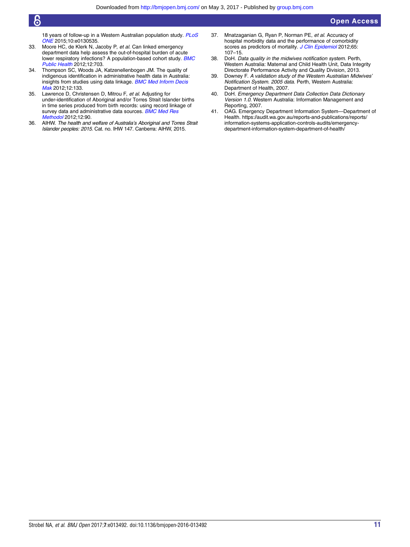<span id="page-12-0"></span>6

18 years of follow-up in a Western Australian population study. [PLoS](http://dx.doi.org/10.1371/journal.pone.0130535) [ONE](http://dx.doi.org/10.1371/journal.pone.0130535) 2015;10:e0130535.

- 33. Moore HC, de Klerk N, Jacoby P, et al. Can linked emergency department data help assess the out-of-hospital burden of acute lower respiratory infections? A population-based cohort study. **[BMC](http://dx.doi.org/10.1186/1471-2458-12-703)** [Public Health](http://dx.doi.org/10.1186/1471-2458-12-703) 2012;12:703.
- 34. Thompson SC, Woods JA, Katzenellenbogen JM. The quality of indigenous identification in administrative health data in Australia: insights from studies using data linkage. **[BMC Med Inform Decis](http://dx.doi.org/10.1186/1472-6947-12-133)** [Mak](http://dx.doi.org/10.1186/1472-6947-12-133) 2012:12:133.
- 35. Lawrence D, Christensen D, Mitrou F, et al. Adjusting for under-identification of Aboriginal and/or Torres Strait Islander births in time series produced from birth records: using record linkage of survey data and administrative data sources. **[BMC Med Res](http://dx.doi.org/10.1186/1471-2288-12-90)** [Methodol](http://dx.doi.org/10.1186/1471-2288-12-90) 2012;12:90.
- 36. AIHW. The health and welfare of Australia's Aboriginal and Torres Strait Islander peoples: 2015. Cat. no. IHW 147. Canberra: AIHW, 2015.
- 37. Mnatzaganian G, Ryan P, Norman PE, et al. Accuracy of hospital morbidity data and the performance of comorbidity scores as predictors of mortality. [J Clin Epidemiol](http://dx.doi.org/10.1016/j.jclinepi.2011.03.014) 2012;65: 107–15.
- 38. DoH. Data quality in the midwives notification system. Perth, Western Australia: Maternal and Child Health Unit, Data Integrity Directorate Performance Activity and Quality Division, 2013.
- 39. Downey F. A validation study of the Western Australian Midwives' Notification System. 2005 data. Perth, Western Australia: Department of Health, 2007.
- 40. DoH. Emergency Department Data Collection Data Dictionary Version 1.0. Western Australia: Information Management and Reporting, 2007.
- 41. OAG. Emergency Department Information System—Department of Health. [https://audit.wa.gov.au/reports-and-publications/reports/](https://audit.wa.gov.au/reports-and-publications/reports/information-systems-application-controls-audits/emergency-department-information-system-department-of-health/) [information-systems-application-controls-audits/emergency](https://audit.wa.gov.au/reports-and-publications/reports/information-systems-application-controls-audits/emergency-department-information-system-department-of-health/)[department-information-system-department-of-health/](https://audit.wa.gov.au/reports-and-publications/reports/information-systems-application-controls-audits/emergency-department-information-system-department-of-health/)